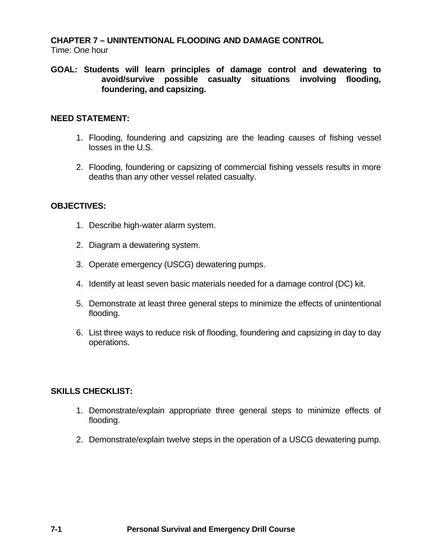# **CHAPTER 7 – UNINTENTIONAL FLOODING AND DAMAGE CONTROL**

Time: One hour

**GOAL: Students will learn principles of damage control and dewatering to avoid/survive possible casualty situations involving flooding, foundering, and capsizing.**

### **NEED STATEMENT:**

- 1. Flooding, foundering and capsizing are the leading causes of fishing vessel losses in the U.S.
- 2. Flooding, foundering or capsizing of commercial fishing vessels results in more deaths than any other vessel related casualty.

### **OBJECTIVES:**

- 1. Describe high-water alarm system.
- 2. Diagram a dewatering system.
- 3. Operate emergency (USCG) dewatering pumps.
- 4. Identify at least seven basic materials needed for a damage control (DC) kit.
- 5. Demonstrate at least three general steps to minimize the effects of unintentional flooding.
- 6. List three ways to reduce risk of flooding, foundering and capsizing in day to day operations.

#### **SKILLS CHECKLIST:**

- 1. Demonstrate/explain appropriate three general steps to minimize effects of flooding.
- 2. Demonstrate/explain twelve steps in the operation of a USCG dewatering pump.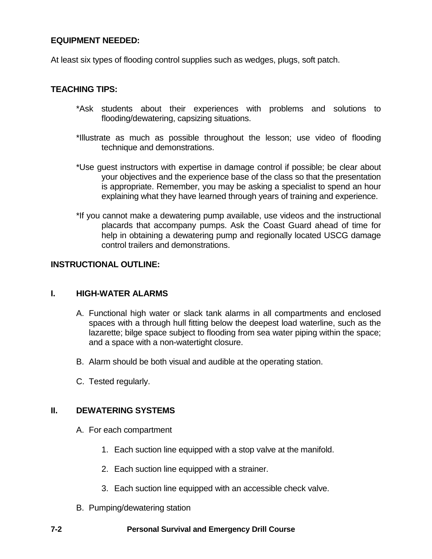### **EQUIPMENT NEEDED:**

At least six types of flooding control supplies such as wedges, plugs, soft patch.

#### **TEACHING TIPS:**

- \*Ask students about their experiences with problems and solutions to flooding/dewatering, capsizing situations.
- \*Illustrate as much as possible throughout the lesson; use video of flooding technique and demonstrations.
- \*Use guest instructors with expertise in damage control if possible; be clear about your objectives and the experience base of the class so that the presentation is appropriate. Remember, you may be asking a specialist to spend an hour explaining what they have learned through years of training and experience.
- \*If you cannot make a dewatering pump available, use videos and the instructional placards that accompany pumps. Ask the Coast Guard ahead of time for help in obtaining a dewatering pump and regionally located USCG damage control trailers and demonstrations.

### **INSTRUCTIONAL OUTLINE:**

#### **I. HIGH-WATER ALARMS**

- A. Functional high water or slack tank alarms in all compartments and enclosed spaces with a through hull fitting below the deepest load waterline, such as the lazarette; bilge space subject to flooding from sea water piping within the space; and a space with a non-watertight closure.
- B. Alarm should be both visual and audible at the operating station.
- C. Tested regularly.

# **II. DEWATERING SYSTEMS**

- A. For each compartment
	- 1. Each suction line equipped with a stop valve at the manifold.
	- 2. Each suction line equipped with a strainer.
	- 3. Each suction line equipped with an accessible check valve.
- B. Pumping/dewatering station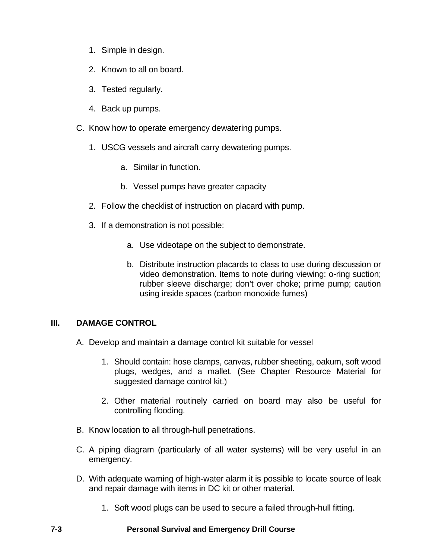- 1. Simple in design.
- 2. Known to all on board.
- 3. Tested regularly.
- 4. Back up pumps.
- C. Know how to operate emergency dewatering pumps.
	- 1. USCG vessels and aircraft carry dewatering pumps.
		- a. Similar in function.
		- b. Vessel pumps have greater capacity
	- 2. Follow the checklist of instruction on placard with pump.
	- 3. If a demonstration is not possible:
		- a. Use videotape on the subject to demonstrate.
		- b. Distribute instruction placards to class to use during discussion or video demonstration. Items to note during viewing: o-ring suction; rubber sleeve discharge; don't over choke; prime pump; caution using inside spaces (carbon monoxide fumes)

# **III. DAMAGE CONTROL**

- A. Develop and maintain a damage control kit suitable for vessel
	- 1. Should contain: hose clamps, canvas, rubber sheeting, oakum, soft wood plugs, wedges, and a mallet. (See Chapter Resource Material for suggested damage control kit.)
	- 2. Other material routinely carried on board may also be useful for controlling flooding.
- B. Know location to all through-hull penetrations.
- C. A piping diagram (particularly of all water systems) will be very useful in an emergency.
- D. With adequate warning of high-water alarm it is possible to locate source of leak and repair damage with items in DC kit or other material.
	- 1. Soft wood plugs can be used to secure a failed through-hull fitting.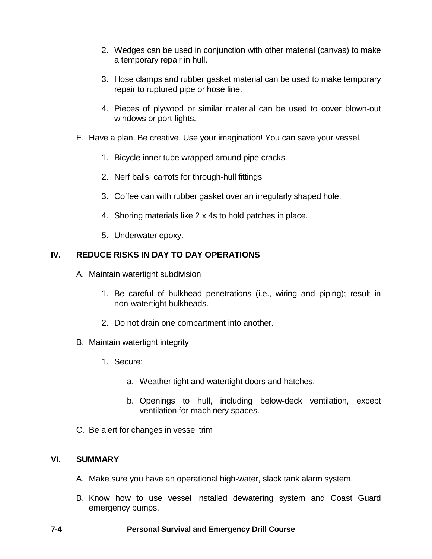- 2. Wedges can be used in conjunction with other material (canvas) to make a temporary repair in hull.
- 3. Hose clamps and rubber gasket material can be used to make temporary repair to ruptured pipe or hose line.
- 4. Pieces of plywood or similar material can be used to cover blown-out windows or port-lights.
- E. Have a plan. Be creative. Use your imagination! You can save your vessel.
	- 1. Bicycle inner tube wrapped around pipe cracks.
	- 2. Nerf balls, carrots for through-hull fittings
	- 3. Coffee can with rubber gasket over an irregularly shaped hole.
	- 4. Shoring materials like 2 x 4s to hold patches in place.
	- 5. Underwater epoxy.

# **IV. REDUCE RISKS IN DAY TO DAY OPERATIONS**

- A. Maintain watertight subdivision
	- 1. Be careful of bulkhead penetrations (i.e., wiring and piping); result in non-watertight bulkheads.
	- 2. Do not drain one compartment into another.
- B. Maintain watertight integrity
	- 1. Secure:
		- a. Weather tight and watertight doors and hatches.
		- b. Openings to hull, including below-deck ventilation, except ventilation for machinery spaces.
- C. Be alert for changes in vessel trim

#### **VI. SUMMARY**

- A. Make sure you have an operational high-water, slack tank alarm system.
- B. Know how to use vessel installed dewatering system and Coast Guard emergency pumps.